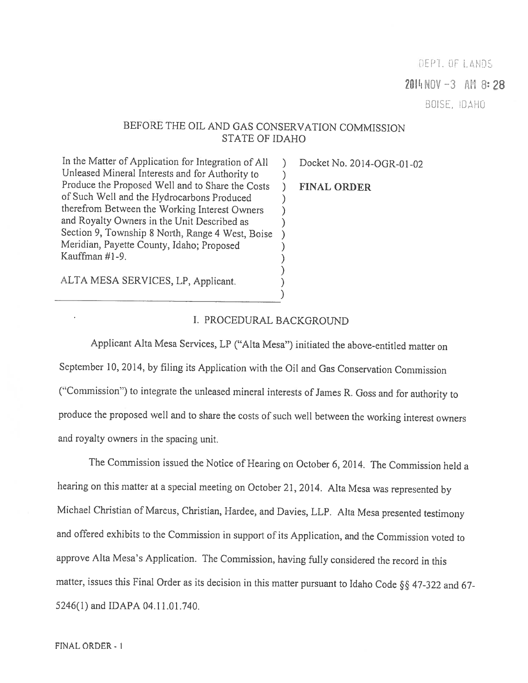## DEPT. OF LANDS

 $2014 NOV -3$  AM 8:28

BOISE, IDAHO

# BEFORE THE OIL AND GAS CONSERVATION COMMISSION STATE OF IDAHO

In the Matter of Application for Integration of All ) Docket No. 2014-OGR-01-02<br>
Unleased Mineral Interests and for Authority to<br>
Produce the Proposed Well and to Share the Costs ) FINAL ORDER<br>
of Such Well and the Hydroca

ALTA MESA SERVICES, LP, Applicant.

## I. PROCEDURAL BACKGROUND

)

)

Applicant Alta Mesa Services, LP ("Alta Mesa") initiated the above-entitled matter on September 10, 2014, by tiling its Application with the Oil and Gas Conservation Commission ('Cornmission") to integrate the unleased mineral interests of James R. Goss and for authority to produce the proposed well and to share the costs of such well between the working interest owners and royalty owners in the spacing unit.

The Commission issued the Notice of Hearing on October 6, 2014. The Commission held <sup>a</sup> hearing on this matter at <sup>a</sup> special meeting on October 21, 2014. Alta Mesa was represented by Michael Christian of Marcus, Christian, Hardee, and Davies, LLP. Alta Mesa presented testimony and offered exhibits to the Commission in support of its Application, and the Commission voted to approve Alta Mesa's Application. The Commission, having fully considered the record in this matter, issues this Final Order as its decision in this matter pursuant to Idaho Code  $\S$ § 47-322 and 67-5246(1) and IDAPA 04.11.01.740.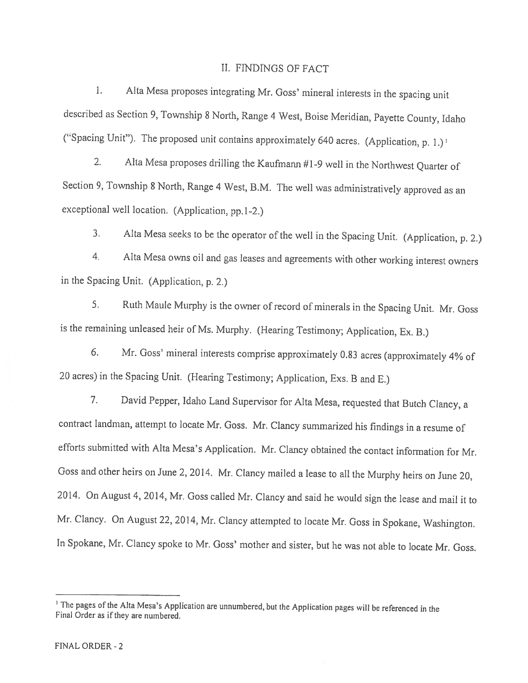#### II. FINDINGS OF FACT

1. Alta Mesa proposes integrating Mr. Goss' mineral interests in the spacing unit described as Section 9, Township <sup>8</sup> North, Range <sup>4</sup> West, Boise Meridian, Payette County, Idaho ("Spacing Unit"). The proposed unit contains approximately 640 acres. (Application, p. 1.)<sup>1</sup>

2. Alta Mesa proposes drilling the Kaufrnann #1-9 well in the Northwest Quarter of Section 9, Township 8 North, Range 4 West, B.M. The well was administratively approved as an exceptional well location. (Application, pp.1-2.)

3, Aha Mesa seeks to be the operator of the well in the Spacing Unit. (Application, p. 2.)

4. Alta Mesa owns oil and gas leases and agreements with other working interest owners in the Spacing Unit. (Application, p. 2.)

5. Ruth Maule Murphy is the owner of record of minerals in the Spacing Unit. Mr. Goss is the remaining unleased heir of Ms. Murphy. (Hearing Testimony; Application, Ex. B.)

6. Mr. Goss' mineral interests comprise approximately 0.83 acres (approximately 4% of <sup>20</sup> acres) in the Spacing Unit. (Hearing Testimony; Application, Exs. <sup>B</sup> and E.)

7. David Pepper, Idaho Land Supervisor for Alta Mesa, requested that Butch Clancy, <sup>a</sup> contract landman, attempt to locate Mr. Goss. Mr. Clancy summarized his findings in a resume of efforts submitted with Alta Mesa's Application. Mr. Clancy obtained the contact information for Mr. Goss and other heirs on June 2, 2014. Mr. Clancy mailed <sup>a</sup> lease to all the Murphy heirs on June 20, 2014. On August 4, 2014, Mr. Goss called Mr. Clancy and said he would sign the lease and mail it to Mr. Clancy. On August 22, 2014, Mr. Clancy attempted to locate Mr. Goss in Spokane, Washington. In Spokane, Mr. Clancy spoke to Mr. Goss' mother and sister, but he was not able to locate Mr. Goss.

<sup>&</sup>lt;sup>1</sup> The pages of the Alta Mesa's Application are unnumbered, but the Application pages will be referenced in the Final Order as if they are numbered.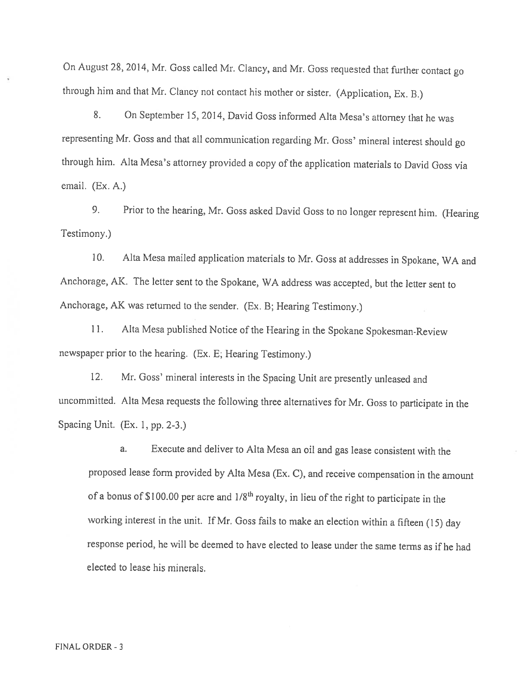On August 28, 2014, Mr. Goss called Mr. Clancy, and Mr. Goss requested that further contact go through him and that Mr. Clancy not contact his mother or sister. (Application, Ex. B.)

8. On September 15, 2014, David Goss informed Alta Mesa's attorney that he was representing Mr. Goss and that all communication regarding Mr. Goss' mineral interest should go through him. Alta Mesa's attorney provided a copy of the application materials to David Goss via email. (Ex. A.)

9. Prior to the hearing, Mr. Goss asked David Goss to no longer represent him. (Hearing Testimony.)

10. Alta Mesa mailed application materials to Mr. Goss at addresses in Spokane, WA and Anchorage, AK. The letter sent to the Spokane, WA address was accepted, but the letter sent to Anchorage, AK was returned to the sender. (Ex. B; Hearing Testimony.)

11. Alta Mesa published Notice of the Hearing in the Spokane Spokesman-Review newspaper prior to the hearing. (Ex. E; Hearing Testimony.)

12. Mr. Goss' mineral interests in the Spacing Unit are presently unleased and uncommitted. Alta Mesa requests the following three alternatives for Mr. Goss to participate in the Spacing Unit. (Ex. 1, pp. 2-3.)

a. Execute and deliver to Alta Mesa an oil and gas lease consistent with the proposed lease form provided by Alta Mesa (Ex. C), and receive compensation in the amount of a bonus of \$100.00 per acre and  $1/8^{th}$  royalty, in lieu of the right to participate in the working interest in the unit. If Mr. Goss fails to make an election within <sup>a</sup> fifteen (15) day response period, he will be deemed to have elected to lease under the same terms as if he had elected to lease his minerals.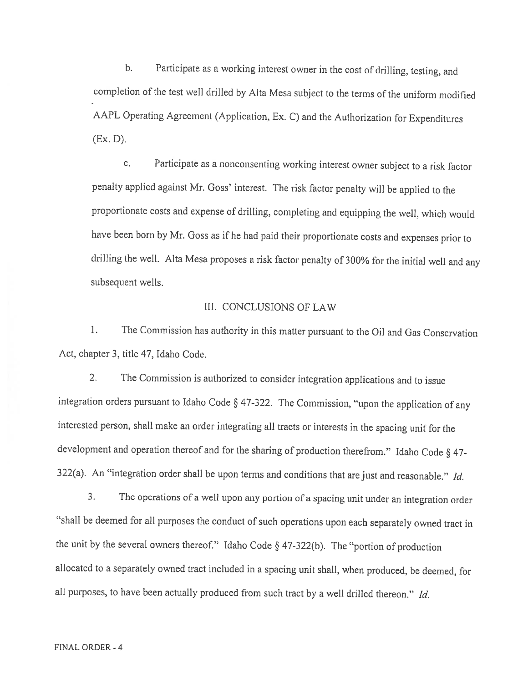b. Participate as <sup>a</sup> working interest owner in the cost of drilling, testing, and completion of the test well drilled by Alta Mesa subject to the terms of the uniform modified AAPL Operating Agreement (Application, Ex. C) and the Authorization for Expenditures  $(EX, D)$ .

c. Participate as <sup>a</sup> nonconsenting working interest owner subject to <sup>a</sup> risk factor penalty applied against Mr. Goss' interest. The risk factor penalty will be applied to the proportionate costs and expense of drilling, completing and equipping the well, which would have been born by Mr. Goss as if he had paid their proportionate costs and expenses prior to drilling the well. Alta Mesa proposes <sup>a</sup> risk factor penalty of 300% for the initial well and any subsequent wells.

## III. CONCLUSIONS Of LAW

I. The Commission has authority in this matter pursuant to the Oil and Gas Conservation Act, chapter 3, title 47, Idaho Code.

2. The Commission is authorized to consider integration applications and to issue integration orders pursuant to Idaho Code § 47-322. The Commission, "upon the application of any interested person, shall make an order integrating all tracts or interests in the spacing unit for the development and operation thereof and for the sharing of production therefrom." Idaho Code § 47- 322(a). An "integration order shall be upon terms and conditions that are just and reasonable." Id.

3. The operations of <sup>a</sup> well upon any portion of <sup>a</sup> spacing unit under an integration order "shall be deemed for all purposes the conduct of such operations upon each separately owned tract in the unit by the several owners thereof." Idaho Code § 47-322(b). The "portion of production allocated to <sup>a</sup> separately owned tract included in <sup>a</sup> spacing unit shall, when produced, be deemed, for all purposes, to have been actually produced from such tract by a well drilled thereon." Id.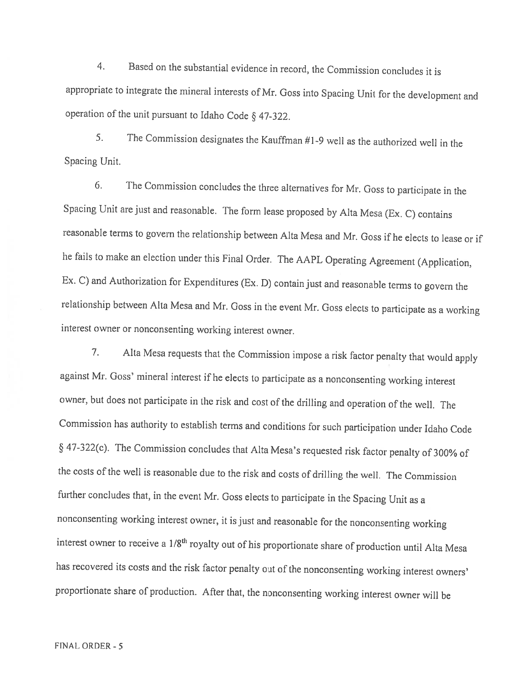4. Based on the substantial evidence in record, the Commission concludes it is appropriate to integrate the mineral interests of Mr. Goss into Spacing Unit for the development and operation of the unit pursuant to Idaho Code § 47-322.

5. The Commission designates the Kauffman #1-9 well as the authorized well in the Spacing Unit.

6. The Commission concludes the three alternatives for Mr. Goss to participate in the Spacing Unit are just and reasonable. The form lease proposed by Alta Mesa (Ex. C) contains reasonable terms to govern the relationship between AIta Mesa and Mr. Goss if he elects to lease or if he fails to make an election under this Final Order. The AAPL Operating Agreement (Application, Ex. C) and Authorization for Expenditures (Ex. D) contain just and reasonable terms to govern the relationship between Alta Mesa and Mr. Goss in the event Mr. Goss elects to participate as <sup>a</sup> working interest owner or nonconsenting working interest owner.

7. Alta Mesa requests that the Commission impose <sup>a</sup> risk factor penalty that would apply against Mr. Goss' mineral interest if he elects to participate as <sup>a</sup> nonconsenting working interest owner, but does not participate in the risk and cost of the drilling and operation of the well. The Commission has authority to establish terms and conditions for such participation under Idaho Code § 47-322(c). The Commission concludes that Alta Mesa's requested risk factor penalty of 3O0% of the costs of the well is reasonable due to the risk and costs of drilling the well. The Commission further concludes that, in the event Mr. Goss elects to participate in the Spacing Unit as <sup>a</sup> nonconsenting working interest owner, it is just and reasonable for the nonconsenting working interest owner to receive a 1/8<sup>th</sup> royalty out of his proportionate share of production until Alta Mesa has recovered its costs and the risk factor penalty out of the nonconsenting working interest owners' proportionate share of production. After that, the nonconsenting working interest owner will be

FINAL ORDER -5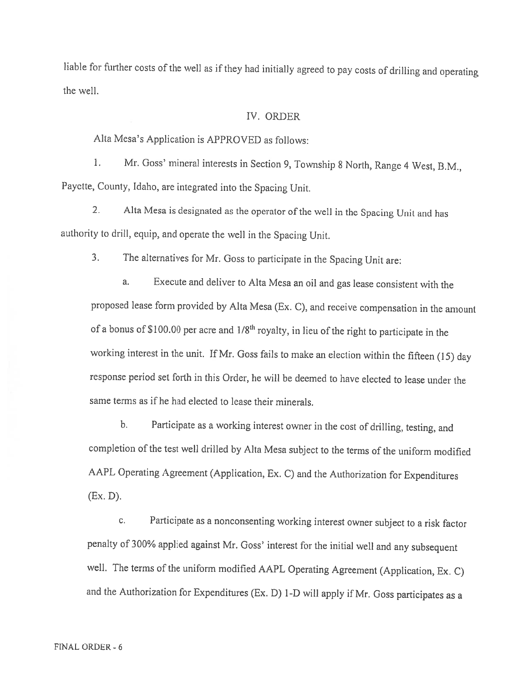liable for further costs of the well as if they had initially agreed to pay costs of drilling and operating the well.

#### IV, ORDER

Alta Mesa's Application is APPROVED as follows:

1. Mr. Goss' mineral interests in Section 9, Township <sup>2</sup> North, Range <sup>4</sup> West, B.M., Payette, County, Idaho, are integrated into the Spacing Unit.

2. Alta Mesa is designated as the operator of the well in the Spacing Unit and has authority to drill, equip, and operate the well in the Spacing Unit.

3. The alternatives for Mr. Goss to participate in the Spacing Unit are:

a. Execute and deliver to Alta Mesa an oil and gas lease consistent with the proposed lease form provided by Alta Mesa (Ex. C), and receive compensation in the amount of a bonus of \$100.00 per acre and  $1/8<sup>th</sup>$  royalty, in lieu of the right to participate in the working interest in the unit. If Mr. Goss fails to make an election within the fifteen (15) day response period set forth in this Order, he will be deemed to have elected to lease under the same terms as if he had elected to lease their minerals.

b. Participate as <sup>a</sup> working interest owner in the cost of drilling, testing, and completion of the test well drilled by Alta Mesa subject to the terms of the uniform modified AAPL Operating Agreement (Application, Ex. C) and the Authorization for Expenditures (Ex.D).

c. Participate as <sup>a</sup> nonconsenting working interest owner subject to <sup>a</sup> risk factor penalty of 300% applied against Mr. Goss' interest for the initial well and any subsequent well. The terms of the uniform modified AAPL Operating Agreement (Application, Ex. C) and the Authorization for Expenditures (Ex. D) 1-D will apply if Mr. Goss participates as <sup>a</sup>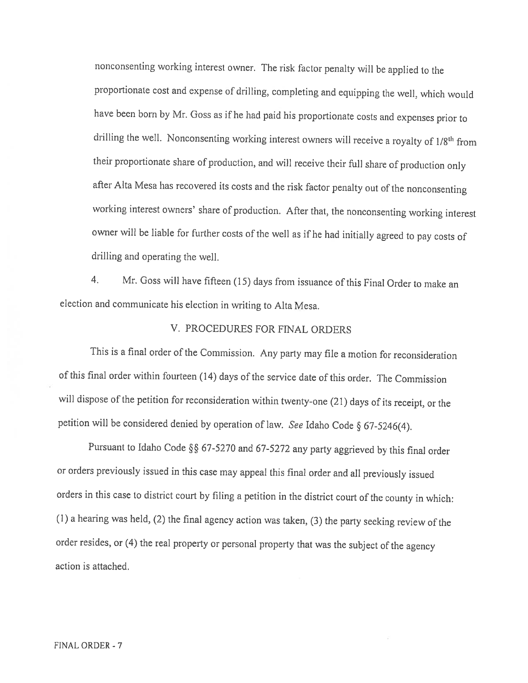nonconsenting working interest owner. The risk factor penalty will be applied to the proportionate cost and expense of drilling, completing and equipping the well, which would have been born by Mr. Goss as if he had paid his proportionate costs and expenses prior to drilling the well. Nonconsenting working interest owners will receive a royalty of 1/8<sup>th</sup> from their proportionate share of production, and will receive their full share of production only after Alta Mesa has recovered its costs and the risk factor penalty out of the nonconsenting working interest owners' share of production. After that, the nonconsenting working interest owner will be liable for further costs of the well as if he had initially agreed to pay costs of drilling and operating the well.

4. Mr. Goss will have fifteen (15) days from issuance of this final Order to make an election and communicate his election in writing to Alta Mesa.

## V. PROCEDURES FOR FINAL ORDERS

This is <sup>a</sup> final order of the Commission. Any party may file <sup>a</sup> motion for reconsideration of this final order within fourteen (14) days of the service date of this order. The Commission will dispose of the petition for reconsideration within twenty-one (21) days of its receipt, or the petition will be considered denied by operation of law. See Idaho Code § 67-5246(4).

Pursuant to Idaho Code §S 67-5270 and 67-5272 any party aggrieved by this final order or orders previously issued in this case may appeal this final order and all previously issued orders in this case to district court by filing <sup>a</sup> petition in the district court of the county in which: (1) <sup>a</sup> hearing was held, (2) the final agency action was taken, (3) the party seeking review of the order resides, or (4) the real property or personal property that was the subject of the agency action is attached.